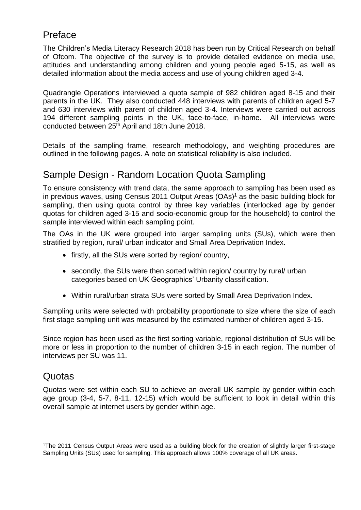## Preface

The Children's Media Literacy Research 2018 has been run by Critical Research on behalf of Ofcom. The objective of the survey is to provide detailed evidence on media use, attitudes and understanding among children and young people aged 5-15, as well as detailed information about the media access and use of young children aged 3-4.

Quadrangle Operations interviewed a quota sample of 982 children aged 8-15 and their parents in the UK. They also conducted 448 interviews with parents of children aged 5-7 and 630 interviews with parent of children aged 3-4. Interviews were carried out across 194 different sampling points in the UK, face-to-face, in-home. All interviews were conducted between 25<sup>th</sup> April and 18th June 2018.

Details of the sampling frame, research methodology, and weighting procedures are outlined in the following pages. A note on statistical reliability is also included.

## Sample Design - Random Location Quota Sampling

To ensure consistency with trend data, the same approach to sampling has been used as in previous waves, using Census 2011 Output Areas (OAs)<sup>1</sup> as the basic building block for sampling, then using quota control by three key variables (interlocked age by gender quotas for children aged 3-15 and socio-economic group for the household) to control the sample interviewed within each sampling point.

The OAs in the UK were grouped into larger sampling units (SUs), which were then stratified by region, rural/ urban indicator and Small Area Deprivation Index.

- firstly, all the SUs were sorted by region/ country,
- secondly, the SUs were then sorted within region/ country by rural/ urban categories based on UK Geographics' Urbanity classification.
- Within rural/urban strata SUs were sorted by Small Area Deprivation Index.

Sampling units were selected with probability proportionate to size where the size of each first stage sampling unit was measured by the estimated number of children aged 3-15.

Since region has been used as the first sorting variable, regional distribution of SUs will be more or less in proportion to the number of children 3-15 in each region. The number of interviews per SU was 11.

#### Quotas

 $\overline{\phantom{a}}$ 

Quotas were set within each SU to achieve an overall UK sample by gender within each age group (3-4, 5-7, 8-11, 12-15) which would be sufficient to look in detail within this overall sample at internet users by gender within age.

<sup>1</sup>The 2011 Census Output Areas were used as a building block for the creation of slightly larger first-stage Sampling Units (SUs) used for sampling. This approach allows 100% coverage of all UK areas.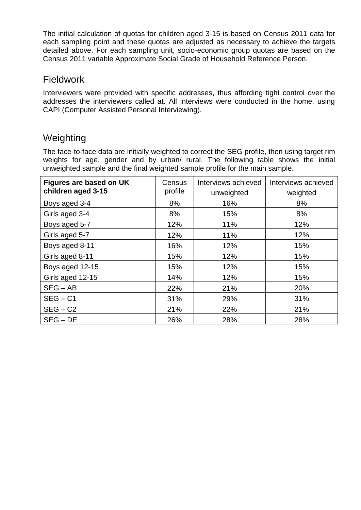The initial calculation of quotas for children aged 3-15 is based on Census 2011 data for each sampling point and these quotas are adjusted as necessary to achieve the targets detailed above. For each sampling unit, socio-economic group quotas are based on the Census 2011 variable Approximate Social Grade of Household Reference Person.

### **Fieldwork**

Interviewers were provided with specific addresses, thus affording tight control over the addresses the interviewers called at. All interviews were conducted in the home, using CAPI (Computer Assisted Personal Interviewing).

## Weighting

The face-to-face data are initially weighted to correct the SEG profile, then using target rim weights for age, gender and by urban/ rural. The following table shows the initial unweighted sample and the final weighted sample profile for the main sample.

| Figures are based on UK<br>children aged 3-15 | Census<br>profile | Interviews achieved<br>unweighted | Interviews achieved<br>weighted |  |
|-----------------------------------------------|-------------------|-----------------------------------|---------------------------------|--|
| Boys aged 3-4                                 | 8%                | 16%                               | 8%                              |  |
| Girls aged 3-4                                | 8%                | 15%                               | 8%                              |  |
| Boys aged 5-7                                 | 12%               | 11%                               | 12%                             |  |
| Girls aged 5-7                                | 12%               | 11%                               | 12%                             |  |
| Boys aged 8-11                                | 16%               | 12%                               | 15%                             |  |
| Girls aged 8-11                               | 15%               | 12%                               | 15%                             |  |
| Boys aged 12-15                               | 15%               | 12%                               | 15%                             |  |
| Girls aged 12-15                              | 14%               | 12%                               | 15%                             |  |
| $SEG - AB$                                    | 22%               | 21%                               | 20%                             |  |
| $SEG - C1$                                    | 31%               | 29%                               | 31%                             |  |
| $SEG - C2$                                    | 21%               | 22%                               | 21%                             |  |
| $SEG - DE$                                    | 26%               | 28%                               | 28%                             |  |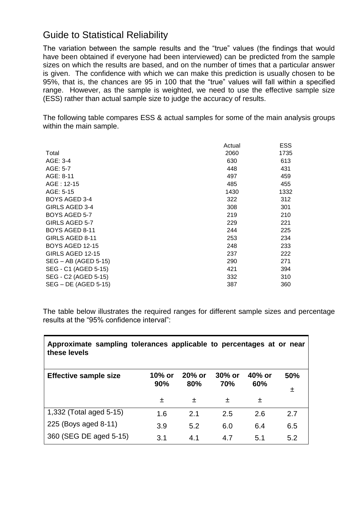# Guide to Statistical Reliability

The variation between the sample results and the "true" values (the findings that would have been obtained if everyone had been interviewed) can be predicted from the sample sizes on which the results are based, and on the number of times that a particular answer is given. The confidence with which we can make this prediction is usually chosen to be 95%, that is, the chances are 95 in 100 that the "true" values will fall within a specified range. However, as the sample is weighted, we need to use the effective sample size (ESS) rather than actual sample size to judge the accuracy of results.

The following table compares ESS & actual samples for some of the main analysis groups within the main sample.

|                        | Actual | <b>ESS</b> |
|------------------------|--------|------------|
| Total                  | 2060   | 1735       |
| AGE: 3-4               | 630    | 613        |
| AGE: 5-7               | 448    | 431        |
| $AGE: 8-11$            | 497    | 459        |
| AGE: 12-15             | 485    | 455        |
| AGE: 5-15              | 1430   | 1332       |
| <b>BOYS AGED 3-4</b>   | 322    | 312        |
| GIRLS AGED 3-4         | 308    | 301        |
| <b>BOYS AGED 5-7</b>   | 219    | 210        |
| GIRLS AGED 5-7         | 229    | 221        |
| BOYS AGED 8-11         | 244    | 225        |
| GIRLS AGED 8-11        | 253    | 234        |
| <b>BOYS AGED 12-15</b> | 248    | 233        |
| GIRLS AGED 12-15       | 237    | 222        |
| SEG – AB (AGED 5-15)   | 290    | 271        |
| SEG - C1 (AGED 5-15)   | 421    | 394        |
| SEG - C2 (AGED 5-15)   | 332    | 310        |
| SEG - DE (AGED 5-15)   | 387    | 360        |

The table below illustrates the required ranges for different sample sizes and percentage results at the "95% confidence interval":

| Approximate sampling tolerances applicable to percentages at or near<br>these levels |               |                  |                  |               |          |
|--------------------------------------------------------------------------------------|---------------|------------------|------------------|---------------|----------|
| <b>Effective sample size</b>                                                         | 10% or<br>90% | $20\%$ or<br>80% | $30\%$ or<br>70% | 40% or<br>60% | 50%<br>土 |
|                                                                                      | 土             | 土                | 土                | 土             |          |
| 1,332 (Total aged 5-15)                                                              | 1.6           | 2.1              | 2.5              | 2.6           | 2.7      |
| 225 (Boys aged 8-11)                                                                 | 3.9           | 5.2              | 6.0              | 6.4           | 6.5      |
| 360 (SEG DE aged 5-15)                                                               | 3.1           | 4.1              | 4.7              | 5.1           | 5.2      |